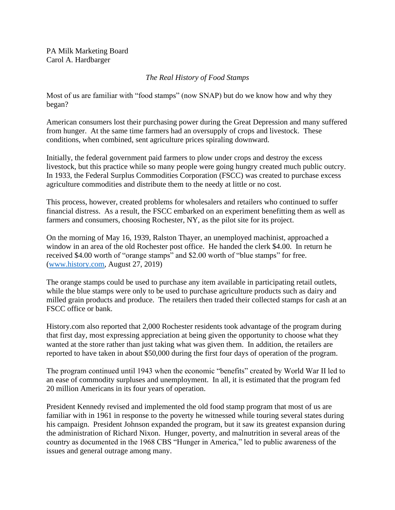PA Milk Marketing Board Carol A. Hardbarger

## *The Real History of Food Stamps*

Most of us are familiar with "food stamps" (now SNAP) but do we know how and why they began?

American consumers lost their purchasing power during the Great Depression and many suffered from hunger. At the same time farmers had an oversupply of crops and livestock. These conditions, when combined, sent agriculture prices spiraling downward.

Initially, the federal government paid farmers to plow under crops and destroy the excess livestock, but this practice while so many people were going hungry created much public outcry. In 1933, the Federal Surplus Commodities Corporation (FSCC) was created to purchase excess agriculture commodities and distribute them to the needy at little or no cost.

This process, however, created problems for wholesalers and retailers who continued to suffer financial distress. As a result, the FSCC embarked on an experiment benefitting them as well as farmers and consumers, choosing Rochester, NY, as the pilot site for its project.

On the morning of May 16, 1939, Ralston Thayer, an unemployed machinist, approached a window in an area of the old Rochester post office. He handed the clerk \$4.00. In return he received \$4.00 worth of "orange stamps" and \$2.00 worth of "blue stamps" for free. [\(www.history.com,](http://www.history.com/) August 27, 2019)

The orange stamps could be used to purchase any item available in participating retail outlets, while the blue stamps were only to be used to purchase agriculture products such as dairy and milled grain products and produce. The retailers then traded their collected stamps for cash at an FSCC office or bank.

History.com also reported that 2,000 Rochester residents took advantage of the program during that first day, most expressing appreciation at being given the opportunity to choose what they wanted at the store rather than just taking what was given them. In addition, the retailers are reported to have taken in about \$50,000 during the first four days of operation of the program.

The program continued until 1943 when the economic "benefits" created by World War II led to an ease of commodity surpluses and unemployment. In all, it is estimated that the program fed 20 million Americans in its four years of operation.

President Kennedy revised and implemented the old food stamp program that most of us are familiar with in 1961 in response to the poverty he witnessed while touring several states during his campaign. President Johnson expanded the program, but it saw its greatest expansion during the administration of Richard Nixon. Hunger, poverty, and malnutrition in several areas of the country as documented in the 1968 CBS "Hunger in America," led to public awareness of the issues and general outrage among many.